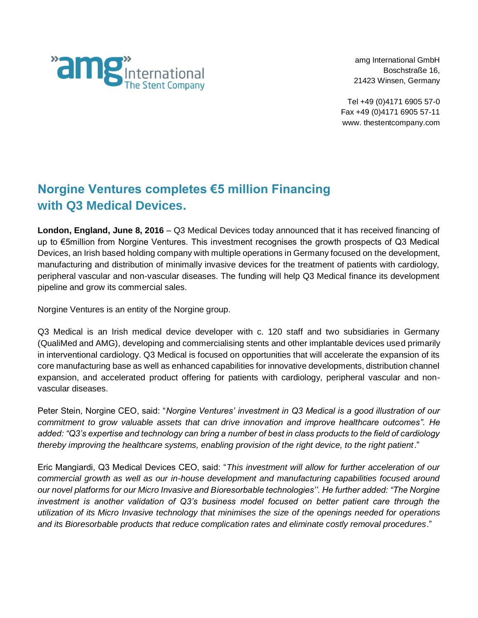

amg International GmbH Boschstraße 16, 21423 Winsen, Germany

Tel +49 (0)4171 6905 57-0 Fax +49 (0)4171 6905 57-11 www. thestentcompany.com

# **Norgine Ventures completes €5 million Financing with Q3 Medical Devices.**

**London, England, June 8, 2016** – Q3 Medical Devices today announced that it has received financing of up to €5million from Norgine Ventures. This investment recognises the growth prospects of Q3 Medical Devices, an Irish based holding company with multiple operations in Germany focused on the development, manufacturing and distribution of minimally invasive devices for the treatment of patients with cardiology, peripheral vascular and non-vascular diseases. The funding will help Q3 Medical finance its development pipeline and grow its commercial sales.

Norgine Ventures is an entity of the Norgine group.

Q3 Medical is an Irish medical device developer with c. 120 staff and two subsidiaries in Germany (QualiMed and AMG), developing and commercialising stents and other implantable devices used primarily in interventional cardiology. Q3 Medical is focused on opportunities that will accelerate the expansion of its core manufacturing base as well as enhanced capabilities for innovative developments, distribution channel expansion, and accelerated product offering for patients with cardiology, peripheral vascular and nonvascular diseases.

Peter Stein, Norgine CEO, said: "*Norgine Ventures' investment in Q3 Medical is a good illustration of our commitment to grow valuable assets that can drive innovation and improve healthcare outcomes". He added: "Q3's expertise and technology can bring a number of best in class products to the field of cardiology thereby improving the healthcare systems, enabling provision of the right device, to the right patient*."

Eric Mangiardi, Q3 Medical Devices CEO, said: "*This investment will allow for further acceleration of our commercial growth as well as our in-house development and manufacturing capabilities focused around our novel platforms for our Micro Invasive and Bioresorbable technologies''. He further added: "The Norgine investment is another validation of Q3's business model focused on better patient care through the utilization of its Micro Invasive technology that minimises the size of the openings needed for operations and its Bioresorbable products that reduce complication rates and eliminate costly removal procedures*."